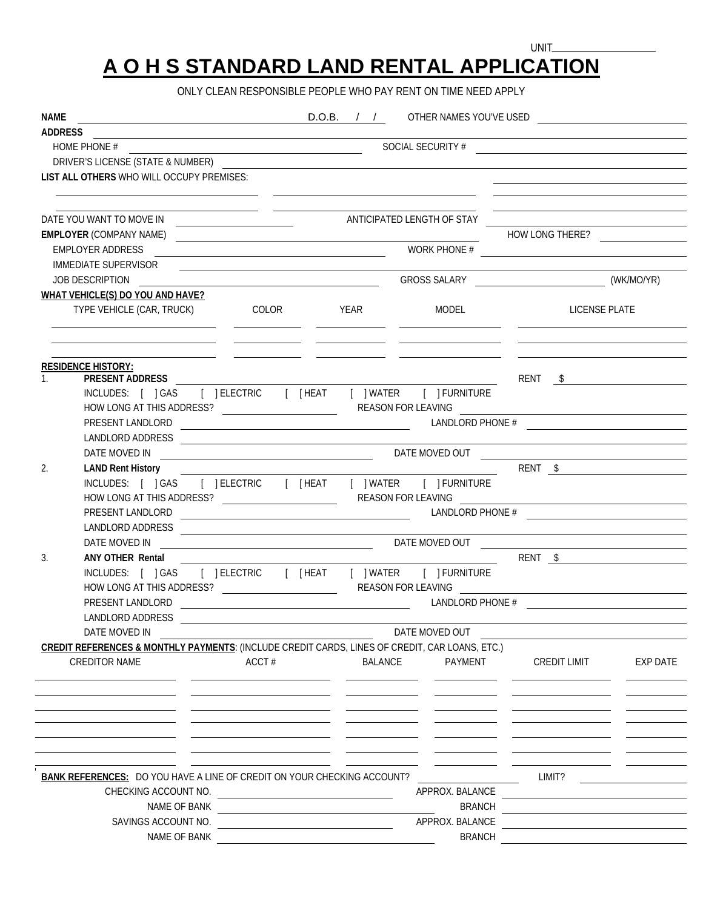## **A O H S STANDARD LAND RENTAL APPLICATION**

UNIT\_

ONLY CLEAN RESPONSIBLE PEOPLE WHO PAY RENT ON TIME NEED APPLY

| NAME<br><u> 1989 - Johann Stoff, deutscher Stoffen und der Stoffen und der Stoffen und der Stoffen und der Stoffen und der </u><br><b>ADDRESS</b> |                                                                                                                                                                                                                                                                                                                                                                                                                                                                                                 |                                      |                                                       |                                                                                                                               | <b>D.O.B.</b> / / OTHER NAMES YOU'VE USED                                                                                                                                                                                      |          |  |
|---------------------------------------------------------------------------------------------------------------------------------------------------|-------------------------------------------------------------------------------------------------------------------------------------------------------------------------------------------------------------------------------------------------------------------------------------------------------------------------------------------------------------------------------------------------------------------------------------------------------------------------------------------------|--------------------------------------|-------------------------------------------------------|-------------------------------------------------------------------------------------------------------------------------------|--------------------------------------------------------------------------------------------------------------------------------------------------------------------------------------------------------------------------------|----------|--|
|                                                                                                                                                   |                                                                                                                                                                                                                                                                                                                                                                                                                                                                                                 |                                      |                                                       |                                                                                                                               |                                                                                                                                                                                                                                |          |  |
|                                                                                                                                                   |                                                                                                                                                                                                                                                                                                                                                                                                                                                                                                 |                                      |                                                       |                                                                                                                               |                                                                                                                                                                                                                                |          |  |
| LIST ALL OTHERS WHO WILL OCCUPY PREMISES:                                                                                                         |                                                                                                                                                                                                                                                                                                                                                                                                                                                                                                 |                                      |                                                       |                                                                                                                               |                                                                                                                                                                                                                                |          |  |
|                                                                                                                                                   | <u> 1990 - Jan James James James James James James James James James James James James James James James James J</u>                                                                                                                                                                                                                                                                                                                                                                            |                                      |                                                       |                                                                                                                               | <u> 1989 - Johann Barnett, fransk politik (</u>                                                                                                                                                                                |          |  |
|                                                                                                                                                   |                                                                                                                                                                                                                                                                                                                                                                                                                                                                                                 |                                      |                                                       |                                                                                                                               | <u> 1980 - Johann Barn, amerikansk politiker (d. 1980)</u>                                                                                                                                                                     |          |  |
| EMPLOYER (COMPANY NAME) <b>COMPANY AND EXAMPLE A</b> CONSERVATION CONTINUES.                                                                      |                                                                                                                                                                                                                                                                                                                                                                                                                                                                                                 |                                      |                                                       |                                                                                                                               | HOW LONG THERE?                                                                                                                                                                                                                |          |  |
| <b>EMPLOYER ADDRESS</b>                                                                                                                           |                                                                                                                                                                                                                                                                                                                                                                                                                                                                                                 |                                      |                                                       |                                                                                                                               | WORK PHONE #                                                                                                                                                                                                                   |          |  |
| IMMEDIATE SUPERVISOR                                                                                                                              |                                                                                                                                                                                                                                                                                                                                                                                                                                                                                                 |                                      |                                                       |                                                                                                                               |                                                                                                                                                                                                                                |          |  |
| JOB DESCRIPTION                                                                                                                                   | <u> 1989 - Johann Barn, mars eta bainar eta industrial eta bainarra eta baina eta baina eta baina eta baina eta</u><br><u> 1989 - Johann Barnett, fransk politik (</u>                                                                                                                                                                                                                                                                                                                          |                                      |                                                       |                                                                                                                               |                                                                                                                                                                                                                                |          |  |
| WHAT VEHICLE(S) DO YOU AND HAVE?                                                                                                                  |                                                                                                                                                                                                                                                                                                                                                                                                                                                                                                 |                                      |                                                       |                                                                                                                               |                                                                                                                                                                                                                                |          |  |
|                                                                                                                                                   |                                                                                                                                                                                                                                                                                                                                                                                                                                                                                                 | TYPE VEHICLE (CAR, TRUCK) COLOR YEAR |                                                       | MODEL                                                                                                                         | <b>LICENSE PLATE</b><br><u> 1990 - Jan James James, politik izan izan dago eta idazlearia (h. 1908).</u>                                                                                                                       |          |  |
|                                                                                                                                                   |                                                                                                                                                                                                                                                                                                                                                                                                                                                                                                 |                                      |                                                       |                                                                                                                               |                                                                                                                                                                                                                                |          |  |
| <b>RESIDENCE HISTORY:</b>                                                                                                                         |                                                                                                                                                                                                                                                                                                                                                                                                                                                                                                 |                                      |                                                       | <u> 1999 - Johann John Stone, mars et al. 1999 - John Stone, mars et al. 1999 - John Stone, mars et al. 1999 - John Stone</u> |                                                                                                                                                                                                                                |          |  |
| <b>PRESENT ADDRESS</b><br>$1_{-}$<br>INCLUDES: [ ] GAS [ ] ELECTRIC [ [HEAT [ ] WATER [ ] FURNITURE                                               |                                                                                                                                                                                                                                                                                                                                                                                                                                                                                                 |                                      |                                                       |                                                                                                                               | RENT \$                                                                                                                                                                                                                        |          |  |
|                                                                                                                                                   |                                                                                                                                                                                                                                                                                                                                                                                                                                                                                                 |                                      |                                                       |                                                                                                                               |                                                                                                                                                                                                                                |          |  |
|                                                                                                                                                   |                                                                                                                                                                                                                                                                                                                                                                                                                                                                                                 |                                      |                                                       |                                                                                                                               |                                                                                                                                                                                                                                |          |  |
| LANDLORD ADDRESS                                                                                                                                  |                                                                                                                                                                                                                                                                                                                                                                                                                                                                                                 |                                      |                                                       |                                                                                                                               |                                                                                                                                                                                                                                |          |  |
|                                                                                                                                                   |                                                                                                                                                                                                                                                                                                                                                                                                                                                                                                 |                                      |                                                       |                                                                                                                               |                                                                                                                                                                                                                                |          |  |
| 2.                                                                                                                                                |                                                                                                                                                                                                                                                                                                                                                                                                                                                                                                 |                                      |                                                       |                                                                                                                               |                                                                                                                                                                                                                                |          |  |
|                                                                                                                                                   |                                                                                                                                                                                                                                                                                                                                                                                                                                                                                                 |                                      |                                                       |                                                                                                                               |                                                                                                                                                                                                                                |          |  |
|                                                                                                                                                   |                                                                                                                                                                                                                                                                                                                                                                                                                                                                                                 |                                      |                                                       |                                                                                                                               |                                                                                                                                                                                                                                |          |  |
| PRESENT LANDLORD                                                                                                                                  | $\begin{array}{c c c c c c} \textbf{LANDLORD PHONE & \textbf{\texttt{I}} & \textbf{\texttt{I}} & \textbf{\texttt{I}} & \textbf{\texttt{I}} & \textbf{\texttt{I}} & \textbf{\texttt{I}} & \textbf{\texttt{I}} & \textbf{\texttt{I}} & \textbf{\texttt{I}} & \textbf{\texttt{I}} & \textbf{\texttt{I}} & \textbf{\texttt{I}} & \textbf{\texttt{I}} & \textbf{\texttt{I}} & \textbf{\texttt{I}} & \textbf{\texttt{I}} & \textbf{\texttt{I}} & \textbf{\texttt{I}} & \textbf{\texttt{I}} & \textbf$ |                                      |                                                       |                                                                                                                               |                                                                                                                                                                                                                                |          |  |
|                                                                                                                                                   |                                                                                                                                                                                                                                                                                                                                                                                                                                                                                                 |                                      |                                                       |                                                                                                                               |                                                                                                                                                                                                                                |          |  |
| DATE MOVED IN                                                                                                                                     |                                                                                                                                                                                                                                                                                                                                                                                                                                                                                                 |                                      |                                                       |                                                                                                                               | DATE MOVED OUT A RESERVED OUT A RESERVED OUT A RESERVED OUT A RESERVED OUT A RESERVED OUT A RESERVED OUT A RESERVED OUT A RESERVED OUT A RESERVED OUT A RESERVED OUT A RESERVED OUT A RESERVED OUT A RESERVED OUT A RESERVED O |          |  |
| 3.<br>ANY OTHER Rental                                                                                                                            |                                                                                                                                                                                                                                                                                                                                                                                                                                                                                                 |                                      |                                                       |                                                                                                                               | RENT <u>\$</u>                                                                                                                                                                                                                 |          |  |
| INCLUDES: [ ] GAS [ ] ELECTRIC [ [ HEAT [ ] WATER [ ] FURNITURE                                                                                   |                                                                                                                                                                                                                                                                                                                                                                                                                                                                                                 |                                      |                                                       |                                                                                                                               |                                                                                                                                                                                                                                |          |  |
| PRESENT LANDLORD                                                                                                                                  |                                                                                                                                                                                                                                                                                                                                                                                                                                                                                                 |                                      |                                                       |                                                                                                                               | LANDLORD PHONE #                                                                                                                                                                                                               |          |  |
| <b>LANDLORD ADDRESS</b>                                                                                                                           | <u>and the state of the state of the state of the state of the state of the state of the state of the state of th</u>                                                                                                                                                                                                                                                                                                                                                                           |                                      |                                                       |                                                                                                                               |                                                                                                                                                                                                                                |          |  |
| DATE MOVED IN                                                                                                                                     |                                                                                                                                                                                                                                                                                                                                                                                                                                                                                                 |                                      |                                                       | DATE MOVED OUT                                                                                                                |                                                                                                                                                                                                                                |          |  |
| <b>CREDIT REFERENCES &amp; MONTHLY PAYMENTS: (INCLUDE CREDIT CARDS, LINES OF CREDIT, CAR LOANS, ETC.)</b>                                         |                                                                                                                                                                                                                                                                                                                                                                                                                                                                                                 |                                      |                                                       |                                                                                                                               |                                                                                                                                                                                                                                |          |  |
| <b>CREDITOR NAME</b>                                                                                                                              | ACCT#                                                                                                                                                                                                                                                                                                                                                                                                                                                                                           |                                      | <b>BALANCE</b>                                        | PAYMENT                                                                                                                       | CREDIT LIMIT                                                                                                                                                                                                                   | EXP DATE |  |
|                                                                                                                                                   |                                                                                                                                                                                                                                                                                                                                                                                                                                                                                                 |                                      |                                                       |                                                                                                                               |                                                                                                                                                                                                                                |          |  |
|                                                                                                                                                   |                                                                                                                                                                                                                                                                                                                                                                                                                                                                                                 |                                      |                                                       |                                                                                                                               |                                                                                                                                                                                                                                |          |  |
|                                                                                                                                                   |                                                                                                                                                                                                                                                                                                                                                                                                                                                                                                 |                                      |                                                       |                                                                                                                               |                                                                                                                                                                                                                                |          |  |
|                                                                                                                                                   |                                                                                                                                                                                                                                                                                                                                                                                                                                                                                                 |                                      |                                                       |                                                                                                                               |                                                                                                                                                                                                                                |          |  |
|                                                                                                                                                   |                                                                                                                                                                                                                                                                                                                                                                                                                                                                                                 |                                      |                                                       |                                                                                                                               |                                                                                                                                                                                                                                |          |  |
| <b>BANK REFERENCES:</b> DO YOU HAVE A LINE OF CREDIT ON YOUR CHECKING ACCOUNT?                                                                    |                                                                                                                                                                                                                                                                                                                                                                                                                                                                                                 |                                      |                                                       |                                                                                                                               | LIMIT?                                                                                                                                                                                                                         |          |  |
| CHECKING ACCOUNT NO.                                                                                                                              |                                                                                                                                                                                                                                                                                                                                                                                                                                                                                                 |                                      | APPROX. BALANCE                                       |                                                                                                                               |                                                                                                                                                                                                                                |          |  |
| NAME OF BANK                                                                                                                                      |                                                                                                                                                                                                                                                                                                                                                                                                                                                                                                 |                                      | <u> 1989 - Johann Stein, fransk politik (d. 1989)</u> | <b>BRANCH</b>                                                                                                                 |                                                                                                                                                                                                                                |          |  |
| SAVINGS ACCOUNT NO.                                                                                                                               |                                                                                                                                                                                                                                                                                                                                                                                                                                                                                                 |                                      | <u> 1989 - Johann Stoff, Amerikaansk politiker (</u>  | APPROX. BALANCE                                                                                                               | the contract of the contract of the contract of the contract of the contract of                                                                                                                                                |          |  |
| NAME OF BANK                                                                                                                                      |                                                                                                                                                                                                                                                                                                                                                                                                                                                                                                 |                                      |                                                       | <b>BRANCH</b>                                                                                                                 |                                                                                                                                                                                                                                |          |  |